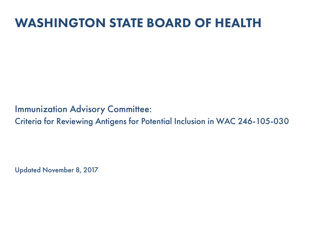## WASHINGTON STATE BOARD OF HEALTH

Immunization Advisory Committee:

Criteria for Reviewing Antigens for Potential Inclusion in WAC 246-105-030

Updated November 8, 2017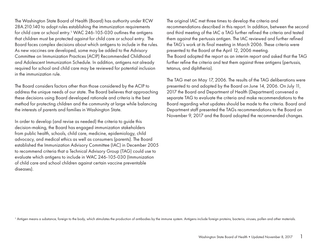The Washington State Board of Health (Board) has authority under RCW 28A.210.140 to adopt rules establishing the immunization requirements for child care or school entry.<sup>1</sup> WAC 246-105-030 outlines the antigens that children must be protected against for child care or school entry. The Board faces complex decisions about which antigens to include in the rules. As new vaccines are developed, some may be added to the Advisory Committee on Immunization Practices (ACIP) Recommended Childhood and Adolescent Immunization Schedule. In addition, antigens not already required for school and child care may be reviewed for potential inclusion in the immunization rule.

The Board considers factors other than those considered by the ACIP to address the unique needs of our state. The Board believes that approaching these decisions using Board developed rationale and criteria is the best method for protecting children and the community at large while balancing the interests of parents and families in Washington State.

In order to develop (and revise as needed) the criteria to guide this decision-making, the Board has engaged immunization stakeholders from public health, schools, child care, medicine, epidemiology, child advocacy, and medical ethics as well as consumers (parents). The Board established the Immunization Advisory Committee (IAC) in December 2005 to recommend criteria that a Technical Advisory Group (TAG) could use to evaluate which antigens to include in WAC 246-105-030 (Immunization of child care and school children against certain vaccine preventable diseases).

The original IAC met three times to develop the criteria and recommendations described in this report. In addition, between the second and third meeting of the IAC a TAG further refined the criteria and tested them against the pertussis antigen. The IAC reviewed and further refined the TAG's work at its final meeting in March 2006. These criteria were presented to the Board at the April 12, 2006 meeting. The Board adopted the report as an interim report and asked that the TAG further refine the criteria and test them against three antigens (pertussis, tetanus, and diphtheria).

The TAG met on May 17, 2006. The results of the TAG deliberations were presented to and adopted by the Board on June 14, 2006. On July 11, 2017 the Board and Department of Health (Department) convened a separate TAG to evaluate the criteria and make recommendations to the Board regarding what updates should be made to the criteria. Board and Department staff presented the TAGs recommendations to the Board on November 9, 2017 and the Board adopted the recommended changes.

<sup>1</sup> Antigen means a substance, foreign to the body, which stimulates the production of antibodies by the immune system. Antigens include foreign proteins, bacteria, viruses, pollen and other materials.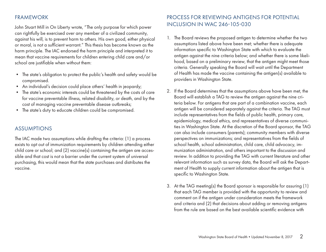## FRAMEWORK

John Stuart Mill in On Liberty wrote, "The only purpose for which power can rightfully be exercised over any member of a civilized community, against his will, is to prevent harm to others. His own good, either physical or moral, is not a sufficient warrant." This thesis has become known as the harm principle. The IAC endorsed the harm principle and interpreted it to mean that vaccine requirements for children entering child care and/or school are justifiable when without them:

- The state's obligation to protect the public's health and safety would be compromised.
- An individual's decision could place others' health in jeopardy;
- The state's economic interests could be threatened by the costs of care for vaccine preventable illness, related disability, or death, and by the cost of managing vaccine preventable disease outbreaks;
- The state's duty to educate children could be compromised.

## ASSUMPTIONS

The IAC made two assumptions while drafting the criteria: (1) a process exists to opt out of immunization requirements by children attending either child care or school; and (2) vaccine(s) containing the antigen are accessible and that cost is not a barrier under the current system of universal purchasing, this would mean that the state purchases and distributes the vaccine.

## PROCESS FOR REVIEWING ANTIGENS FOR POTENTIAL INCLUSION IN WAC 246-105-030

- 1. The Board reviews the proposed antigen to determine whether the two assumptions listed above have been met; whether there is adequate information specific to Washington State with which to evaluate the antigen against the nine criteria below; and whether there is some likelihood, based on a preliminary review, that the antigen might meet those criteria. Generally speaking the Board will wait until the Department of Health has made the vaccine containing the antigen(s) available to providers in Washington State.
- 2. If the Board determines that the assumptions above have been met, the Board will establish a TAG to review the antigen against the nine criteria below. For antigens that are part of a combination vaccine, each antigen will be considered separately against the criteria. The TAG must include representatives from the fields of public health, primary care, epidemiology, medical ethics, and representatives of diverse communities in Washington State. At the discretion of the Board sponsor, the TAG can also include consumers (parents); community members with diverse perspectives on immunizations; and representatives from the fields of school health, school administration, child care, child advocacy, immunization administration, and others important to the discussion and review. In addition to providing the TAG with current literature and other relevant information such as survey data, the Board will ask the Department of Health to supply current information about the antigen that is specific to Washington State.
- 3. At the TAG meeting(s) the Board sponsor is responsible for assuring (1) that each TAG member is provided with the opportunity to review and comment on if the antigen under consideration meets the framework and criteria and (2) that decisions about adding or removing antigens from the rule are based on the best available scientific evidence with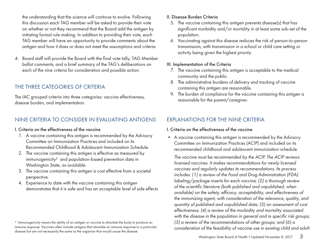the understanding that the science will continue to evolve. Following this discussion each TAG member will be asked to provide their vote on whether or not they recommend that the Board add the antigen by initiating formal rule making. In addition to providing their vote, each TAG member will have an opportunity to provide comments about the antigen and how it does or does not meet the assumptions and criteria.

4. Board staff will provide the Board with the final vote tally, TAG Member ballot comments, and a brief summary of the TAG's deliberations on each of the nine criteria for consideration and possible action.

## THE THREE CATEGORIES OF CRITERIA

The IAC grouped criteria into three categories: vaccine effectiveness, disease burden, and implementation.

## NINE CRITERIA TO CONSIDER IN EVALUATING ANTIGENS

#### I. Criteria on the effectiveness of the vaccine

- 1. A vaccine containing this antigen is recommended by the Advisory Committee on Immunization Practices and included on its Recommended Childhood & Adolescent Immunization Schedule.
- 2. The vaccine containing this antigen is effective as measured by immunogenicity² and population-based prevention data in Washington State, as available.
- 3. The vaccine containing this antigen is cost effective from a societal perspective.
- 4. Experience to date with the vaccine containing this antigen demonstrates that it is safe and has an acceptable level of side effects

#### II. Disease Burden Criteria

- 5. The vaccine containing this antigen prevents disease(s) that has significant morbidity and/or mortality in at least some sub-set of the population.
- 6. Vaccinating against this disease reduces the risk of person-to-person transmission, with transmission in a school or child care setting or activity being given the highest priority.

#### III. Implementation of the Criteria

- 7. The vaccine containing this antigen is acceptable to the medical community and the public.
- 8. The administrative burdens of delivery and tracking of vaccine containing this antigen are reasonable.
- 9. The burden of compliance for the vaccine containing this antigen is reasonable for the parent/caregiver.

## EXPLANATIONS FOR THE NINE CRITERIA

#### I. Criteria on the effectiveness of the vaccine

• A vaccine containing this antigen is recommended by the Advisory Committee on Immunization Practices (ACIP) and included on its recommended childhood and adolescent immunization schedule.

*The vaccine must be recommended by the ACIP. The ACIP reviews licensed vaccines. It makes recommendations for newly licensed vaccines and regularly updates its recommendations. Its process includes: (1) a review of the Food and Drug Administration (FDA) labeling/package inserts for each vaccine; (2) a thorough review of the scientific literature (both published and unpublished, when available) on the safety, efficacy, acceptability, and effectiveness of the immunizing agent, with consideration of the relevance, quality, and quantity of published and unpublished data; (3) an assessment of cost effectiveness; (4) a review of the morbidity and mortality associated with the disease in the population in general and in specific risk groups; (5) a review of the recommendations of other groups; and (6) a consideration of the feasibility of vaccine use in existing child and adult* 

<sup>2</sup> Immunogenicity means the ability of an antigen or vaccine to stimulate the body to produce an immune response. Vaccines often include antigens that stimulate an immune response to a particular disease but are not necessarily the same as the organism that would cause the disease.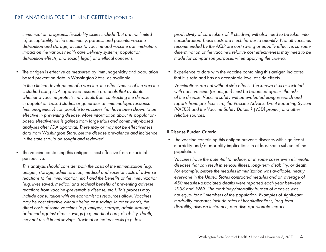### EXPLANATIONS FOR THE NINE CRITERIA (CONT'D)

*immunization programs. Feasibility issues include (but are not limited to) acceptability to the community, parents, and patients; vaccine distribution and storage; access to vaccine and vaccine administration; impact on the various health care delivery systems; population distribution effects; and social, legal, and ethical concerns.* 

The antigen is effective as measured by immunogenicity and population based prevention data in Washington State, as available.

*In the clinical development of a vaccine, the effectiveness of the vaccine is studied using FDA-approved research protocols that evaluate whether a vaccine protects individuals from contracting the disease in population-based studies or generates an immunologic response (immunogenicity) comparable to vaccines that have been shown to be effective in preventing disease. More information about its populationbased effectiveness is gained from large trials and community-based analyses after FDA approval. There may or may not be effectiveness data from Washington State, but the disease prevalence and incidence in the state should be sought and reviewed.* 

• The vaccine containing this antigen is cost effective from a societal perspective.

*This analysis should consider both the costs of the immunization (e.g. antigen, storage, administration, medical and societal costs of adverse reactions to the immunization, etc.) and the benefits of the immunization (e.g. lives saved, medical and societal benefits of preventing adverse reactions from vaccine-preventable disease, etc.). This process may include consultation with an economist as resources allow. Vaccines may be cost effective without being cost saving. In other words, the direct costs of some vaccines (e.g. antigen, storage, administration) balanced against direct savings (e.g. medical care, disability, death) may not result in net savings. Societal or indirect costs (e.g. lost* 

*productivity of care takers of ill children) will also need to be taken into consideration. These costs are much harder to quantify. Not all vaccines recommended by the ACIP are cost saving or equally effective, so some determination of the vaccine's relative cost effectiveness may need to be made for comparison purposes when applying the criteria.* 

• Experience to date with the vaccine containing this antigen indicates that it is safe and has an acceptable level of side effects.

*Vaccinations are not without side effects. The known risks associated with each vaccine (or antigen) must be balanced against the risks of the disease. Vaccine safety will be evaluated using research and reports from: pre-licensure, the Vaccine Adverse Event Reporting System (VAERS) and the Vaccine Safety Datalink (VSD) project, and other reliable sources.*

#### II.Disease Burden Criteria

• The vaccine containing this antigen prevents diseases with significant morbidity and/or mortality implications in at least some sub-set of the population.

*Vaccines have the potential to reduce, or in some cases even eliminate, diseases that can result in serious illness, long-term disability, or death. For example, before the measles immunization was available, nearly everyone in the United States contracted measles and an average of 450 measles-associated deaths were reported each year between 1953 and 1963. The morbidity/mortality burden of measles was not equal for all members of the population. Examples of significant morbidity measures include rates of hospitalizations, long-term disability, disease incidence, and disproportionate impact.*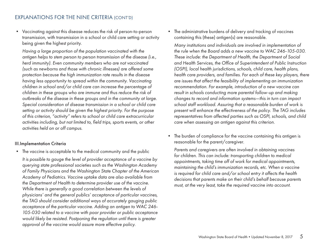• Vaccinating against this disease reduces the risk of person-to-person transmission, with transmission in a school or child care setting or activity being given the highest priority.

*Having a large proportion of the population vaccinated with the antigen helps to stem person to person transmission of the disease (i.e., herd immunity). Even community members who are not vaccinated (such as newborns and those with chronic illnesses) are offered some protection because the high immunization rate results in the disease having less opportunity to spread within the community. Vaccinating children in school and/or child care can increase the percentage of children in these groups who are immune and thus reduce the risk of outbreaks of the disease in these groups and in the community at large. Special consideration of disease transmission in a school or child care setting or activity should be given the highest priority. For the purpose of this criterion, "activity" refers to school or child care extracurricular activities including, but not limited to, field trips, sports events, or other activities held on or off campus.*

#### III.Implementation Criteria

• The vaccine is acceptable to the medical community and the public

*It is possible to gauge the level of provider acceptance of a vaccine by querying state professional societies such as the Washington Academy of Family Physicians and the Washington State Chapter of the American Academy of Pediatrics. Vaccine uptake data are also available from the Department of Health to determine provider use of the vaccine. While there is generally a good correlation between the levels of physicians' and the general publics' acceptance of particular vaccines, the TAG should consider additional ways of accurately gauging public acceptance of the particular vaccine. Adding an antigen to WAC 246- 105-030 related to a vaccine with poor provider or public acceptance would likely be resisted. Postponing the regulation until there is greater approval of the vaccine would assure more effective policy.* 

• The administrative burdens of delivery and tracking of vaccines containing this (these) antigen(s) are reasonable.

*Many institutions and individuals are involved in implementation of the rule when the Board adds a new vaccine to WAC 246-105-030. These include: the Department of Health, the Department of Social and Health Services, the Office of Superintendent of Public Instruction (OSPI), local health jurisdictions, schools, child care, health plans, health care providers, and families. For each of these key players, there are issues that affect the feasibility of implementing an immunization recommendation. For example, introduction of a new vaccine can result in schools conducting more parental follow-up and making changes to record and information systems—this in turn can impact school staff workload. Assuring that a reasonable burden of work is present will enhance the effectiveness of the policy. The TAG includes representatives from affected parties such as OSPI, schools, and child care when assessing an antigen against this criterion.* 

• The burden of compliance for the vaccine containing this antigen is reasonable for the parent/caregiver.

*Parents and caregivers are often involved in obtaining vaccines for children. This can include: transporting children to medical appointments, taking time off of work for medical appointments, maintaining the child's immunization records, etc. When a vaccine is required for child care and/or school entry it affects the health decisions that parents make on their child's behalf because parents must, at the very least, take the required vaccine into account.*